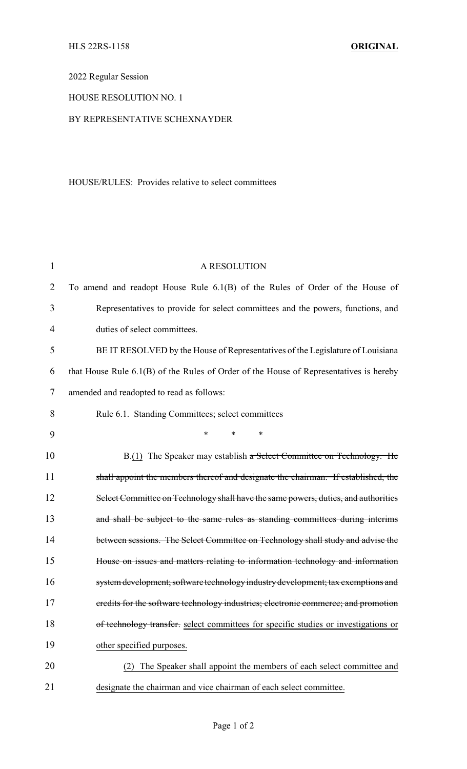2022 Regular Session

# HOUSE RESOLUTION NO. 1

## BY REPRESENTATIVE SCHEXNAYDER

### HOUSE/RULES: Provides relative to select committees

| $\mathbf{1}$   | A RESOLUTION                                                                             |
|----------------|------------------------------------------------------------------------------------------|
| $\overline{2}$ | To amend and readopt House Rule 6.1(B) of the Rules of Order of the House of             |
| 3              | Representatives to provide for select committees and the powers, functions, and          |
| 4              | duties of select committees.                                                             |
| 5              | BE IT RESOLVED by the House of Representatives of the Legislature of Louisiana           |
| 6              | that House Rule $6.1(B)$ of the Rules of Order of the House of Representatives is hereby |
| 7              | amended and readopted to read as follows:                                                |
| 8              | Rule 6.1. Standing Committees; select committees                                         |
| 9              | $\ast$<br>*<br>$\ast$                                                                    |
| 10             | B.(1) The Speaker may establish a Select Committee on Technology. He                     |
| 11             | shall appoint the members thereof and designate the chairman. If established, the        |
| 12             | Select Committee on Technology shall have the same powers, duties, and authorities       |
| 13             | and shall be subject to the same rules as standing committees during interims            |
| 14             | between sessions. The Select Committee on Technology shall study and advise the          |
| 15             | House on issues and matters relating to information technology and information           |
| 16             | system development; software technology industry development; tax exemptions and         |
| 17             | credits for the software technology industries; electronic commerce; and promotion       |
| 18             | of technology transfer. select committees for specific studies or investigations or      |
| 19             | other specified purposes.                                                                |
| 20             | The Speaker shall appoint the members of each select committee and                       |
| 21             | designate the chairman and vice chairman of each select committee.                       |